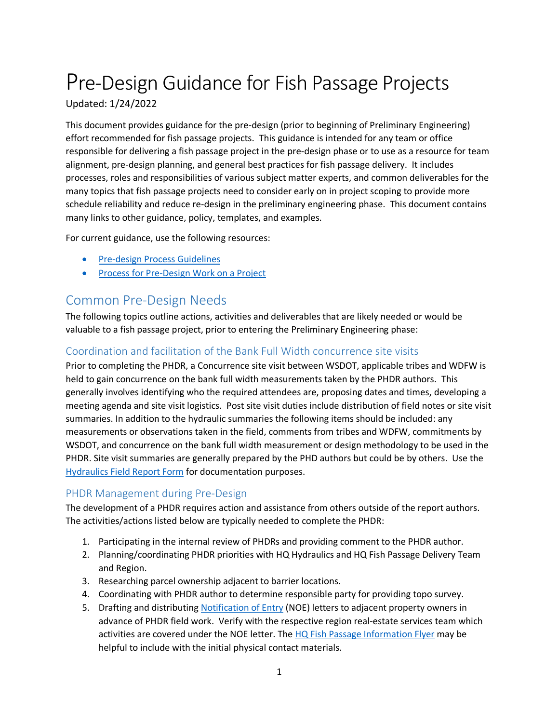# Pre-Design Guidance for Fish Passage Projects

Updated: 1/24/2022

This document provides guidance for the pre-design (prior to beginning of Preliminary Engineering) effort recommended for fish passage projects. This guidance is intended for any team or office responsible for delivering a fish passage project in the pre-design phase or to use as a resource for team alignment, pre-design planning, and general best practices for fish passage delivery. It includes processes, roles and responsibilities of various subject matter experts, and common deliverables for the many topics that fish passage projects need to consider early on in project scoping to provide more schedule reliability and reduce re-design in the preliminary engineering phase. This document contains many links to other guidance, policy, templates, and examples.

For current guidance, use the following resources:

- [Pre-design Process Guidelines](https://wsdot.wa.gov/sites/default/files/2021-11/PredesignProcessGuidelines.pdf)
- [Process for Pre-Design Work on a Project](https://wsdot.wa.gov/sites/default/files/2021-11/PreDesign%20Process%20Protocol.pdf)

# Common Pre-Design Needs

The following topics outline actions, activities and deliverables that are likely needed or would be valuable to a fish passage project, prior to entering the Preliminary Engineering phase:

# Coordination and facilitation of the Bank Full Width concurrence site visits

Prior to completing the PHDR, a Concurrence site visit between WSDOT, applicable tribes and WDFW is held to gain concurrence on the bank full width measurements taken by the PHDR authors. This generally involves identifying who the required attendees are, proposing dates and times, developing a meeting agenda and site visit logistics. Post site visit duties include distribution of field notes or site visit summaries. In addition to the hydraulic summaries the following items should be included: any measurements or observations taken in the field, comments from tribes and WDFW, commitments by WSDOT, and concurrence on the bank full width measurement or design methodology to be used in the PHDR. Site visit summaries are generally prepared by the PHD authors but could be by others. Use the [Hydraulics Field Report Form](https://view.officeapps.live.com/op/view.aspx?src=https%3A%2F%2Fwsdot.wa.gov%2Fsites%2Fdefault%2Ffiles%2F2021-10%2FHydraulicsFieldReportForm.docx&wdOrigin=BROWSELINK) for documentation purposes.

## PHDR Management during Pre-Design

The development of a PHDR requires action and assistance from others outside of the report authors. The activities/actions listed below are typically needed to complete the PHDR:

- 1. Participating in the internal review of PHDRs and providing comment to the PHDR author.
- 2. Planning/coordinating PHDR priorities with HQ Hydraulics and HQ Fish Passage Delivery Team and Region.
- 3. Researching parcel ownership adjacent to barrier locations.
- 4. Coordinating with PHDR author to determine responsible party for providing topo survey.
- 5. Drafting and distributing [Notification of Entry](https://wsdot.wa.gov/sites/default/files/2021-11/Right%20of%20Entry%20Letter%20Template.pdf) (NOE) letters to adjacent property owners in advance of PHDR field work. Verify with the respective region real-estate services team which activities are covered under the NOE letter. The [HQ Fish Passage Information Flyer](https://wsdot.wa.gov/sites/default/files/2021-11/2021_FishPassageBrochure_SurveyInfo_Final.pdf) may be helpful to include with the initial physical contact materials.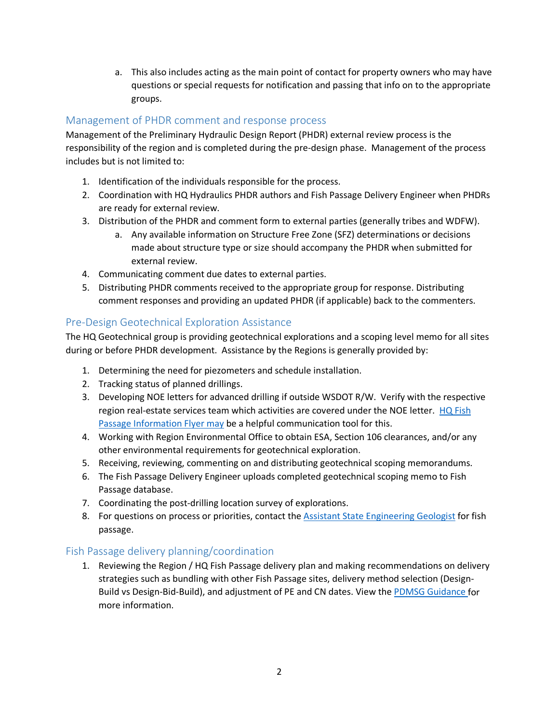a. This also includes acting as the main point of contact for property owners who may have questions or special requests for notification and passing that info on to the appropriate groups.

## Management of PHDR comment and response process

Management of the Preliminary Hydraulic Design Report (PHDR) external review process is the responsibility of the region and is completed during the pre-design phase. Management of the process includes but is not limited to:

- 1. Identification of the individuals responsible for the process.
- 2. Coordination with HQ Hydraulics PHDR authors and Fish Passage Delivery Engineer when PHDRs are ready for external review.
- 3. Distribution of the PHDR and comment form to external parties (generally tribes and WDFW).
	- a. Any available information on Structure Free Zone (SFZ) determinations or decisions made about structure type or size should accompany the PHDR when submitted for external review.
- 4. Communicating comment due dates to external parties.
- 5. Distributing PHDR comments received to the appropriate group for response. Distributing comment responses and providing an updated PHDR (if applicable) back to the commenters.

## Pre-Design Geotechnical Exploration Assistance

The HQ Geotechnical group is providing geotechnical explorations and a scoping level memo for all sites during or before PHDR development. Assistance by the Regions is generally provided by:

- 1. Determining the need for piezometers and schedule installation.
- 2. Tracking status of planned drillings.
- 3. Developing NOE letters for advanced drilling if outside WSDOT R/W. Verify with the respective region real-estate services team which activities are covered under the NOE letter. HQ Fish [Passage Information Flyer](https://wsdot.wa.gov/sites/default/files/2021-11/WSDOTFishPassageFolioJuly2021.pdf) may be a helpful communication tool for this.
- 4. Working with Region Environmental Office to obtain ESA, Section 106 clearances, and/or any other environmental requirements for geotechnical exploration.
- 5. Receiving, reviewing, commenting on and distributing geotechnical scoping memorandums.
- 6. The Fish Passage Delivery Engineer uploads completed geotechnical scoping memo to Fish Passage database.
- 7. Coordinating the post-drilling location survey of explorations.
- 8. For questions on process or priorities, contact the [Assistant State Engineering Geologist](mailto:taylorg@wsdot.wa.gov) for fish passage.

#### Fish Passage delivery planning/coordination

1. Reviewing the Region / HQ Fish Passage delivery plan and making recommendations on delivery strategies such as bundling with other Fish Passage sites, delivery method selection (Design-Build vs Design-Bid-Build), and adjustment of PE and CN dates. View the [PDMSG Guidance](https://wsdot.wa.gov/engineering-standards/project-management-training/project-management/project-delivery-method-selection-guidance) for more information.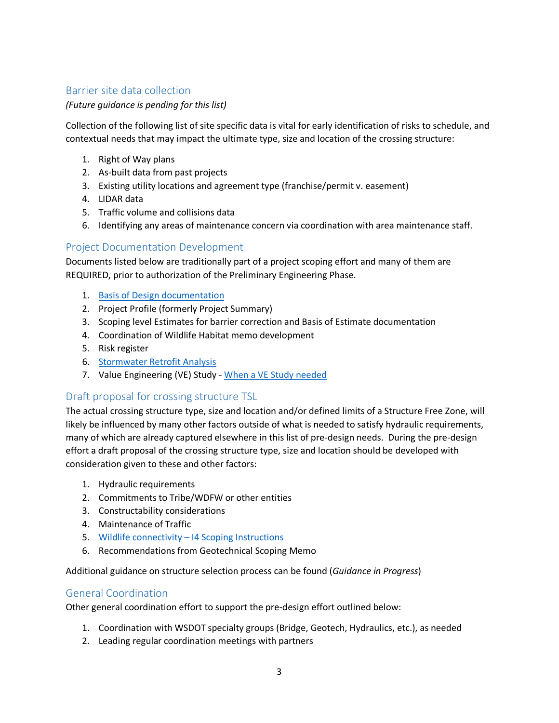## Barrier site data collection

*(Future guidance is pending for this list)*

Collection of the following list of site specific data is vital for early identification of risks to schedule, and contextual needs that may impact the ultimate type, size and location of the crossing structure:

- 1. Right of Way plans
- 2. As-built data from past projects
- 3. Existing utility locations and agreement type (franchise/permit v. easement)
- 4. LIDAR data
- 5. Traffic volume and collisions data
- 6. Identifying any areas of maintenance concern via coordination with area maintenance staff.

#### Project Documentation Development

Documents listed below are traditionally part of a project scoping effort and many of them are REQUIRED, prior to authorization of the Preliminary Engineering Phase.

- 1. [Basis of Design documentation](https://wsdot.wa.gov/engineering-standards/design-topics/design-tools-and-support)
- 2. Project Profile (formerly Project Summary)
- 3. Scoping level Estimates for barrier correction and Basis of Estimate documentation
- 4. Coordination of Wildlife Habitat memo development
- 5. Risk register
- 6. [Stormwater Retrofit Analysis](https://wsdot.wa.gov/sites/default/files/2021-11/Stormwater_Retrofit_Assessment_for_Fish_Barriers.docx)
- 7. Value Engineering (VE) Study  [When a VE Study needed](https://wsdot.wa.gov/sites/default/files/2021-10/DoesMyProjectNeedaValueEngineeringStudy.pdf)

#### Draft proposal for crossing structure TSL

The actual crossing structure type, size and location and/or defined limits of a Structure Free Zone, will likely be influenced by many other factors outside of what is needed to satisfy hydraulic requirements, many of which are already captured elsewhere in this list of pre-design needs. During the pre-design effort a draft proposal of the crossing structure type, size and location should be developed with consideration given to these and other factors:

- 1. Hydraulic requirements
- 2. Commitments to Tribe/WDFW or other entities
- 3. Constructability considerations
- 4. Maintenance of Traffic
- 5. [Wildlife connectivity I4 Scoping Instructions](https://wsdot.wa.gov/sites/default/files/2021-11/I4ScopingInstructions.pdf)
- 6. Recommendations from Geotechnical Scoping Memo

Additional guidance on structure selection process can be found (*Guidance in Progress*)

#### General Coordination

Other general coordination effort to support the pre-design effort outlined below:

- 1. Coordination with WSDOT specialty groups (Bridge, Geotech, Hydraulics, etc.), as needed
- 2. Leading regular coordination meetings with partners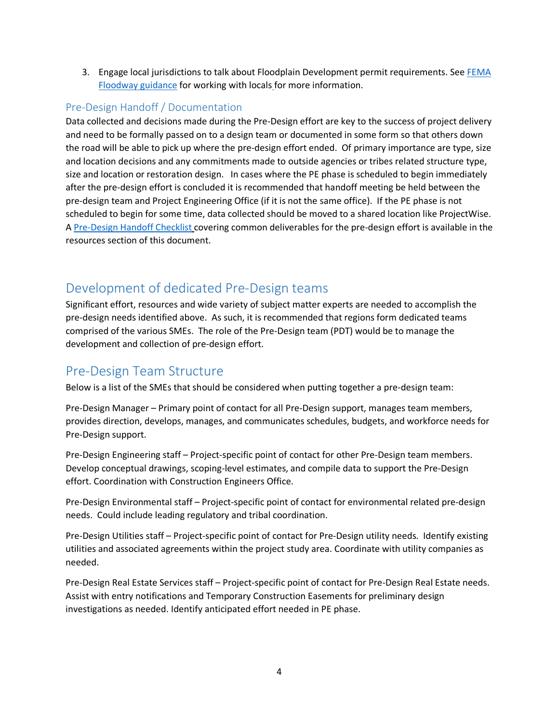3. Engage local jurisdictions to talk about Floodplain Development permit requirements. See [FEMA](https://wsdot.wa.gov/publications/manuals/fulltext/M31-11/432.pdf)  [Floodway guidance](https://wsdot.wa.gov/publications/manuals/fulltext/M31-11/432.pdf) for working with locals for more information.

## Pre-Design Handoff / Documentation

Data collected and decisions made during the Pre-Design effort are key to the success of project delivery and need to be formally passed on to a design team or documented in some form so that others down the road will be able to pick up where the pre-design effort ended. Of primary importance are type, size and location decisions and any commitments made to outside agencies or tribes related structure type, size and location or restoration design. In cases where the PE phase is scheduled to begin immediately after the pre-design effort is concluded it is recommended that handoff meeting be held between the pre-design team and Project Engineering Office (if it is not the same office). If the PE phase is not scheduled to begin for some time, data collected should be moved to a shared location like ProjectWise. A [Pre-Design Handoff Checklist](https://wsdot.wa.gov/sites/default/files/2021-11/Pre-Design%20Handoff%20Checklist.pdf) covering common deliverables for the pre-design effort is available in the resources section of this document.

# Development of dedicated Pre-Design teams

Significant effort, resources and wide variety of subject matter experts are needed to accomplish the pre-design needs identified above. As such, it is recommended that regions form dedicated teams comprised of the various SMEs. The role of the Pre-Design team (PDT) would be to manage the development and collection of pre-design effort.

# Pre-Design Team Structure

Below is a list of the SMEs that should be considered when putting together a pre-design team:

Pre-Design Manager – Primary point of contact for all Pre-Design support, manages team members, provides direction, develops, manages, and communicates schedules, budgets, and workforce needs for Pre-Design support.

Pre-Design Engineering staff – Project-specific point of contact for other Pre-Design team members. Develop conceptual drawings, scoping-level estimates, and compile data to support the Pre-Design effort. Coordination with Construction Engineers Office.

Pre-Design Environmental staff – Project-specific point of contact for environmental related pre-design needs. Could include leading regulatory and tribal coordination.

Pre-Design Utilities staff – Project-specific point of contact for Pre-Design utility needs. Identify existing utilities and associated agreements within the project study area. Coordinate with utility companies as needed.

Pre-Design Real Estate Services staff – Project-specific point of contact for Pre-Design Real Estate needs. Assist with entry notifications and Temporary Construction Easements for preliminary design investigations as needed. Identify anticipated effort needed in PE phase.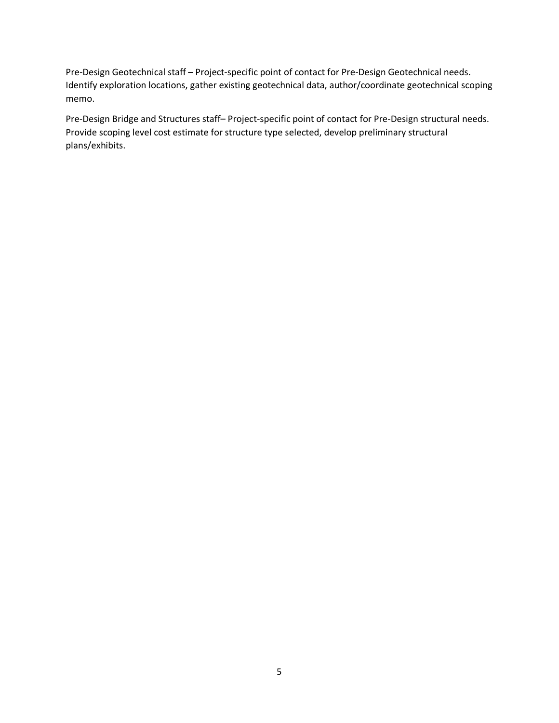Pre-Design Geotechnical staff – Project-specific point of contact for Pre-Design Geotechnical needs. Identify exploration locations, gather existing geotechnical data, author/coordinate geotechnical scoping memo.

Pre-Design Bridge and Structures staff– Project-specific point of contact for Pre-Design structural needs. Provide scoping level cost estimate for structure type selected, develop preliminary structural plans/exhibits.